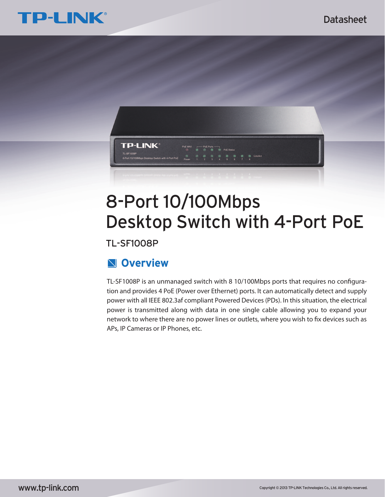



# 8-Port 10/100Mbps Desktop Switch with 4-Port PoE

TL-SF1008P

## **Overview**

TL-SF1008P is an unmanaged switch with 8 10/100Mbps ports that requires no configuration and provides 4 PoE (Power over Ethernet) ports. It can automatically detect and supply power with all IEEE 802.3af compliant Powered Devices (PDs). In this situation, the electrical power is transmitted along with data in one single cable allowing you to expand your network to where there are no power lines or outlets, where you wish to fix devices such as APs, IP Cameras or IP Phones, etc.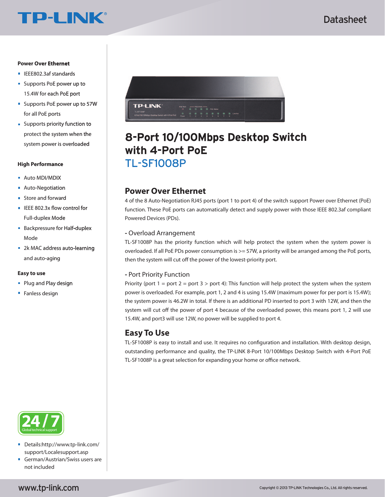# **TP-LINK®**

### **Power Over Ethernet**

- IEEE802.3af standards
- **Supports PoE power up to** 15.4W for each PoE port
- **Supports PoE power up to 57W** for all PoE ports
- **Supports priority function to** protect the system when the system power is overloaded

#### **High Performance**

- **Auto MDI/MDIX**
- **Auto-Negotiation**
- **Store and forward**
- $\blacksquare$  IEEE 802.3x flow control for Full-duplex Mode
- **Backpressure for Half-duplex** Mode
- 2k MAC address auto-learning and auto-aging

#### **Easy to use**

- **Plug and Play design**
- **Fanless design**



- $\blacksquare$ Details:http://www.tp-link.com/ support/Localesupport.asp
- German/Austrian/Swiss users are not included



## TL-SF1008P **8-Port 10/100Mbps Desktop Switch with 4-Port PoE**

## **Power Over Ethernet**

4 of the 8 Auto-Negotiation RJ45 ports (port 1 to port 4) of the switch support Power over Ethernet (PoE) function. These PoE ports can automatically detect and supply power with those IEEE 802.3af compliant Powered Devices (PDs).

## **-** Overload Arrangement

TL-SF1008P has the priority function which will help protect the system when the system power is overloaded. If all PoE PDs power consumption is  $>=$  57W, a priority will be arranged among the PoE ports, then the system will cut off the power of the lowest-priority port.

### **-** Port Priority Function

Priority (port  $1 =$  port  $2 =$  port  $3 >$  port 4): This function will help protect the system when the system power is overloaded. For example, port 1, 2 and 4 is using 15.4W (maximum power for per port is 15.4W); the system power is 46.2W in total. If there is an additional PD inserted to port 3 with 12W, and then the system will cut off the power of port 4 because of the overloaded power, this means port 1, 2 will use 15.4W, and port3 will use 12W, no power will be supplied to port 4.

## **Easy To Use**

TL-SF1008P is easy to install and use. It requires no configuration and installation. With desktop design, outstanding performance and quality, the TP-LINK 8-Port 10/100Mbps Desktop Switch with 4-Port PoE TL-SF1008P is a great selection for expanding your home or office network.